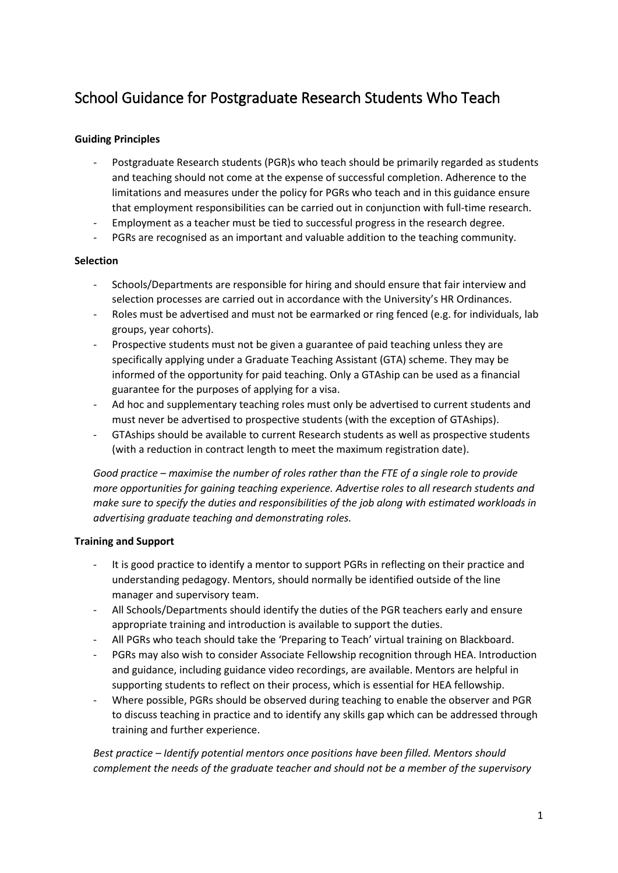# School Guidance for Postgraduate Research Students Who Teach

## **Guiding Principles**

- Postgraduate Research students (PGR)s who teach should be primarily regarded as students and teaching should not come at the expense of successful completion. Adherence to the limitations and measures under the policy for PGRs who teach and in this guidance ensure that employment responsibilities can be carried out in conjunction with full-time research.
- Employment as a teacher must be tied to successful progress in the research degree.
- PGRs are recognised as an important and valuable addition to the teaching community.

#### **Selection**

- Schools/Departments are responsible for hiring and should ensure that fair interview and selection processes are carried out in accordance with the University's HR Ordinances.
- Roles must be advertised and must not be earmarked or ring fenced (e.g. for individuals, lab groups, year cohorts).
- Prospective students must not be given a guarantee of paid teaching unless they are specifically applying under a Graduate Teaching Assistant (GTA) scheme. They may be informed of the opportunity for paid teaching. Only a GTAship can be used as a financial guarantee for the purposes of applying for a visa.
- Ad hoc and supplementary teaching roles must only be advertised to current students and must never be advertised to prospective students (with the exception of GTAships).
- GTAships should be available to current Research students as well as prospective students (with a reduction in contract length to meet the maximum registration date).

*Good practice – maximise the number of roles rather than the FTE of a single role to provide more opportunities for gaining teaching experience. Advertise roles to all research students and make sure to specify the duties and responsibilities of the job along with estimated workloads in advertising graduate teaching and demonstrating roles.*

#### **Training and Support**

- It is good practice to identify a mentor to support PGRs in reflecting on their practice and understanding pedagogy. Mentors, should normally be identified outside of the line manager and supervisory team.
- All Schools/Departments should identify the duties of the PGR teachers early and ensure appropriate training and introduction is available to support the duties.
- All PGRs who teach should take the 'Preparing to Teach' virtual training on Blackboard.
- PGRs may also wish to consider Associate Fellowship recognition through HEA. Introduction and guidance, including guidance video recordings, are available. Mentors are helpful in supporting students to reflect on their process, which is essential for HEA fellowship.
- Where possible, PGRs should be observed during teaching to enable the observer and PGR to discuss teaching in practice and to identify any skills gap which can be addressed through training and further experience.

*Best practice – Identify potential mentors once positions have been filled. Mentors should complement the needs of the graduate teacher and should not be a member of the supervisory*